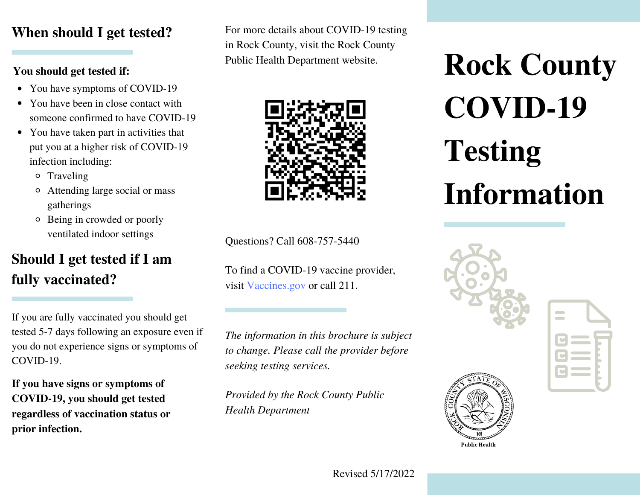## **When should I get tested?**

### **You should get tested if:**

- You have symptoms of COVID-19
- You have been in close contact with someone confirmed to have COVID-19
- You have taken part in activities that put you at a higher risk of COVID-19 infection including:
	- o Traveling
	- Attending large social or mass gatherings
	- Being in crowded or poorly ventilated indoor settings

## **Should I get tested if I am fully vaccinated?**

If you are fully vaccinated you should get tested 5-7 days following an exposure even if you do not experience signs or symptoms of COVID-19.

**If you have signs or symptoms of COVID-19, you should get tested regardless of vaccination status or prior infection.**

For more details about COVID-19 testing in Rock County, visit the Rock County Public Health Department website.



Questions? Call 608-757-5440

To find a COVID-19 vaccine provider, visit [Vaccines.gov](https://www.vaccines.gov/) or call 211.

*The information in this brochure is subject to change. Please call the provider before seeking testing services.*

*Provided by the Rock County Public Health Department*

**Rock County COVID-19 Testing Information**



**Public Health** 

Revised 5/17/2022